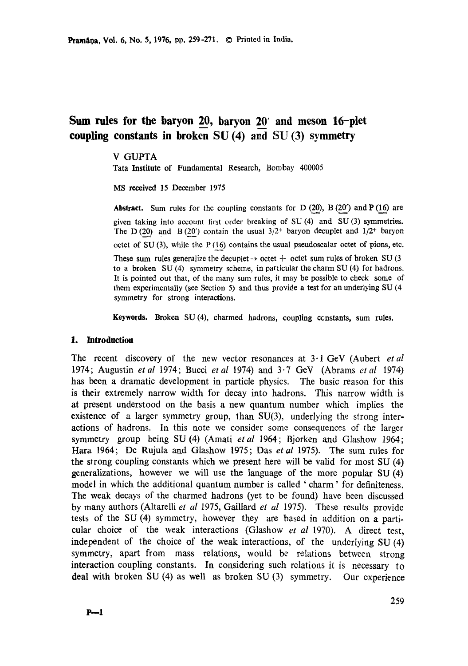# **Sum rules for the baryon 20, baryon 20' and meson 16-plet coupling constants in broken SU (4) and SU (3) symmetry**

### V GUPTA

**Tata Institute** of Fundamental Research, Bombay 400005

MS received 15 December 1975

**Abstract.** Sum rules for the coupling constants for D  $(20)$ , B  $(20')$  and P  $(16)$  are given taking into account first order breaking of SU (4) and SU (3) symmetries. The D (20) and B (20') contain the usual  $3/2^+$  baryon decuplet and  $1/2^+$  baryon octet of SU (3), while the P (16) contains the usual pseudoscalar octet of pions, etc. These sum rules generalize the decuplet  $\rightarrow$  octet  $+$  octet sum rules of broken SU (3) to a broken SU (4) symmetry scheme, in particular the charm SU (4) for hadrons. It is pointed out that, of the many sum rules, it may be possible to check some of them experimentally (see Section 5) and thus provide a test for an underlying SU (4 **symmetry** for strong interactions.

**Keywords.** Broken SU (4), charmed hadrons, coupling constants, sum rules.

#### **1. Introduction**

The recent discovery of the new vector resonances at 3.1 GeV (Aubert *et al*  1974; Augustin *etal* 1974; Bucci *etal* 1974) and 3.7 GeV (Abrams *etal* 1974) has been a dramatic development in particle physics. The basic reason for this is their extremely narrow width for decay into hadrons. This narrow width is at present understood on the basis a new quantum number which implies the existence of a larger symmetry group, than  $SU(3)$ , underlying the strong interactions of hadrons. In this note we consider some consequences of the larger symmetry group being SU(4) (Amati *etal* 1964; Bjorken and Glashow 1964; Hara 1964; De Rujula and Glashow 1975; Das *etal* 1975). The sum rules for the strong coupling constants which we present here will be valid for most SU (4) generalizations, however we will use the language of the more popular SU (4) model in which the additional quantum number is called ' charm' for definiteness. The weak decays of the charmed hadrons (yet to be found) have been discussed by many authors (Altarelli *et al* 1975, Gaillard *et al* 1975). These results provide tests of the SU (4) symmetry, however they are based in addition on a particular choice of the weak interactions (Glashow *et al* 1970). A direct test, independent of the choice of the weak interactions, of the underlying SU (4) symmetry, apart from mass relations, would be relations between strong interaction coupling constants. In considering such relations it is necessary to deal with broken SU (4) as well as broken SU (3) symmetry. Our experience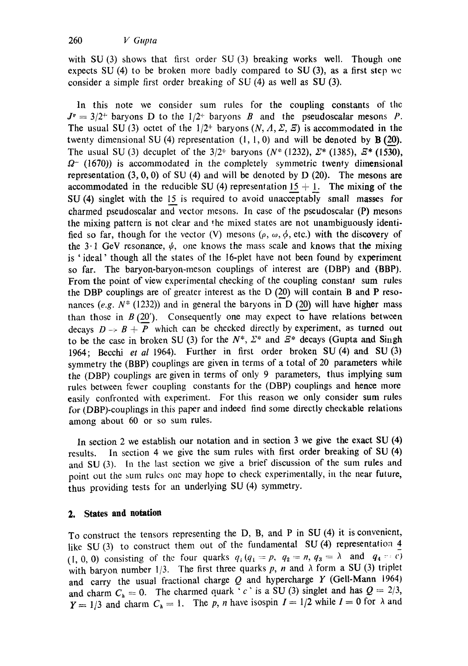with SU (3) shows that first order SU (3) breaking works well. Though one expects SU (4) to be broken more badly compared to SU (3), as a first step we consider a simple first order breaking of SU (4) as well as SU (3).

In this note we consider sum rules for the coupling constants of the  $J<sup>p</sup> = 3/2<sup>+</sup>$  baryons D to the 1/2<sup>+</sup> baryons B and the pseudoscalar mesons P. The usual SU (3) octet of the  $1/2$  baryons  $(N, \Lambda, \Sigma, \overline{z})$  is accommodated in the twenty dimensional SU (4) representation  $(1, 1, 0)$  and will be denoted by **B** (20). The usual SU (3) decuplet of the  $3/2^+$  baryons (N<sup>\*</sup> (1232),  $\Sigma^*$  (1385),  $\Xi^*$  (1530),  $\Omega$ <sup>-</sup> (1670)) is accommodated in the completely symmetric twenty dimensional representation  $(3, 0, 0)$  of SU  $(4)$  and will be denoted by D  $(20)$ . The mesons are accommodated in the reducible SU (4) representation  $15 + 1$ . The mixing of the SU (4) singlet with the 15 is required to avoid unacceptably small masses for charmed pseudoscalar and vector mesons. In case of the pseudoscalar (P) mesons the mixing pattern is not clear and 'he mixed states are not unambiguously identified so far, though for the vector (V) mesons ( $\rho$ ,  $\omega$ ,  $\phi$ , etc.) with the discovery of the 3.1 GeV resonance,  $\psi$ , one knows the mass scale and knows that the mixing is ' ideal' though all the states of the 16-plet have not been found by experiment so far. The baryon-baryon-meson couplings of interest are (DBP) and (BBP). From the point of view experimental checking of the coupling constant sum rules the DBP couplings are of greater interest as the  $D(20)$  will contain B and P resonances (e.g.  $N^*$  (1232)) and in general the baryons in D (20) will have higher mass than those in  $B(20')$ . Consequently one may expect to have relations between decays  $D \rightarrow B + \overline{P}$  which can be checked directly by experiment, as turned out to be the case in broken SU (3) for the  $N^*$ ,  $\Sigma^*$  and  $\overline{E^*}$  decays (Gupta and Singh 1964; Becchi *et al* 1964). Further in first order broken SU (4) and SU (3) symmetry the (BBP) couplings are given in terms of a total of 20 parameters while the (DBP) couplings are given in terms of only 9 parameters, thus implying sum rules between fewer coupling constants for the (DBP) couplings and hence more easily confronted with experiment. For this reason we only consider sum rules for (DBP)-couplings in this paper and indeed find some directly checkable relations among about 60 or so sum rules.

In section 2 we establish our notation and in section 3 we give the exact SU (4) results. In section 4 we give the sum rules with first order breaking of SU (4) and SU (3). In the last section we give a brief discussion of the sum rules and point out the sum rules one may hope to check experimentally, in the near future, thus providing tests for an underlying SU (4) symmetry.

# **2. States and notation**

To construct the tensors representing the D, B, and P in SU (4) it is convenient, like SU (3) to construct them out of the fundamental SU (4) representation 4 (1, 0, 0) consisting of the four quarks  $q_1(q_1 = p, q_2 = n, q_3 = \lambda$  and  $q_4 = c$ ) with baryon number 1/3. The first three quarks p, n and  $\lambda$  form a SU (3) triplet and carry the usual fractional charge  $Q$  and hypercharge  $Y$  (Gell-Mann 1964) and charm  $C_h = 0$ . The charmed quark ' *c*' is a SU (3) singlet and has  $Q = 2/3$ ,  $Y = 1/3$  and charm  $C_{\lambda} = 1$ . The p, n have isospin  $I = 1/2$  while  $I = 0$  for  $\lambda$  and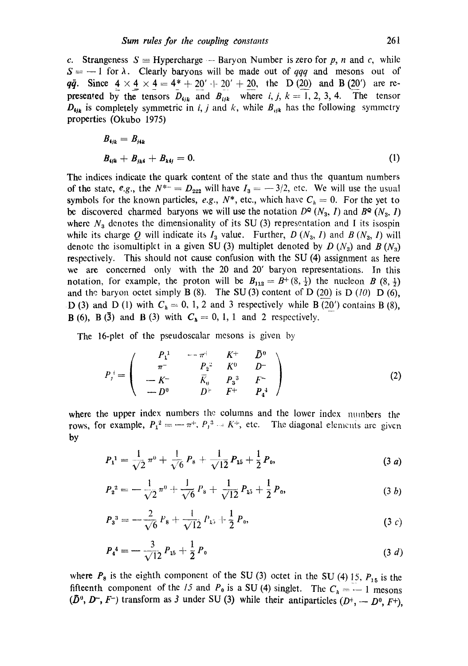c. Strangeness  $S \equiv$  Hypercharge -- Baryon Number is zero for p, n and c, while  $S = -1$  for  $\lambda$ . Clearly baryons will be made out of *qqq* and mesons out of *qq.* Since  $4 \times 4 \times 4 = 4^* + 20' + 20' + 20$ , the D(20) and B(20') are represented by the tensors  $D_{ijk}$  and  $B_{ijk}$  where i, j,  $k = 1, 2, 3, 4$ . The tensor  $D_{ijk}$  is completely symmetric in *i, j* and *k*, while  $B_{ijk}$  has the following symmetry properties (Okubo 1975)

$$
B_{ijk} = B_{jik}
$$
  

$$
B_{ijk} + B_{jki} + B_{kij} = 0.
$$
 (1)

The indices indicate the quark content of the state and thus the quantum numbers of the state, *e.g.*, the  $N^{*-} = D_{222}$  will have  $I_3 = -3/2$ , etc. We will use the usual symbols for the known particles, *e.g.*,  $N^*$ , etc., which have  $C_k = 0$ . For the yet to be discovered charmed baryons we will use the notation  $D^{\circ}(N_3, I)$  and  $B^{\circ}(N_3, I)$ where  $N<sub>3</sub>$  denotes the dimensionality of its SU (3) representation and I its isospin while its charge Q will indicate its  $I_3$  value. Further,  $D(N_3, I)$  and  $B(N_3, I)$  will denote the isomultiplet in a given SU (3) multiplet denoted by  $D(N_3)$  and  $B(N_3)$ respectively. This should not cause confusion with the SU (4) assignment as here we are concerned only with the 20 and 20' baryon representations. In this notation, for example, the proton will be  $B_{112} = B^{+} (8, \frac{1}{2})$  the nucleon B  $(8, \frac{1}{2})$ and the baryon octet simply B  $(8)$ . The SU $(3)$  content of D  $(20)$  is D  $(10)$  D  $(6)$ , D (3) and D (1) with  $C_h=0, 1, 2$  and 3 respectively while B (20') contains B (8), **B**(6), **B**(3) and **B**(3) with  $C_h = 0, 1, 1$  and 2 respectively.

The 16-plet of the pseudoscalar mesons is given by

$$
P_{j}^{i} = \begin{pmatrix} P_{1}^{1} & -\pi^{+} & K^{+} & \bar{D}^{0} \\ \pi^{-} & P_{2}^{2} & K^{0} & D^{-} \\ -K^{-} & \bar{K}_{0} & P_{3}^{3} & F^{-} \\ -D^{0} & D^{+} & F^{+} & P_{4}^{4} \end{pmatrix}
$$
 (2)

where the upper index numbers the columns and the lower index numbers the rows, for example,  $P_1^2 = -\pi^+, P_1^3 - K^+,$  etc. The diagonal elements arc given by

$$
P_1^1 = \frac{1}{\sqrt{2}} \pi^0 + \frac{1}{\sqrt{6}} P_8 + \frac{1}{\sqrt{12}} P_{15} + \frac{1}{2} P_9, \qquad (3 \ a)
$$

$$
P_{2}^{2} = -\frac{1}{\sqrt{2}}\pi^{0} + \frac{1}{\sqrt{6}}P_{8} + \frac{1}{\sqrt{12}}P_{15} + \frac{1}{2}P_{0}, \qquad (3 \ b)
$$

$$
P_3^3 = -\frac{2}{\sqrt{6}} P_8 + \frac{1}{\sqrt{12}} P_{15} + \frac{1}{2} P_0, \tag{3 } c
$$

$$
P_4^4 = -\frac{3}{\sqrt{12}} P_{15} + \frac{1}{2} P_0 \tag{3 d}
$$

where  $P_8$  is the eighth component of the SU (3) octet in the SU (4) 15,  $P_{15}$  is the fifteenth component of the *15* and  $P_0$  is a SU (4) singlet. The  $C_h = -1$  mesons  $(\bar{D}^0, D^-, F^-)$  transform as 3 under SU (3) while their antiparticles  $(D^+, -D^0, F^+)$ ,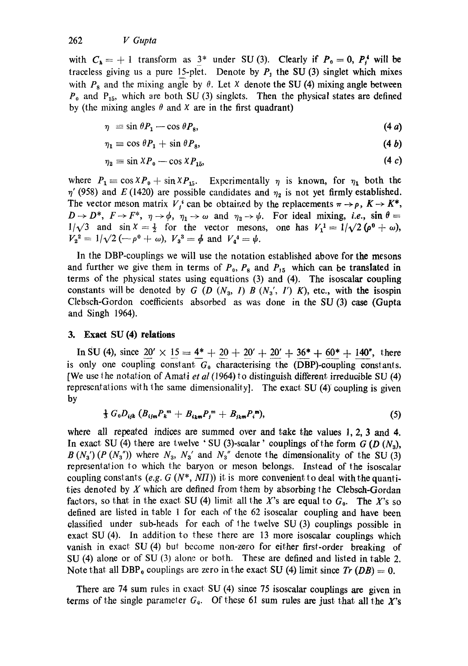with  $C_h = +1$  transform as  $3^*$  under SU (3). Clearly if  $P_0 = 0$ ,  $P_i^*$  will be traceless giving us a pure 15-plet. Denote by  $P_1$  the SU (3) singlet which mixes with  $P_8$  and the mixing angle by  $\theta$ . Let X denote the SU (4) mixing angle between  $P_0$  and  $P_{15}$ , which are both SU (3) singlets. Then the physical states are defined by (the mixing angles  $\theta$  and X are in the first quadrant)

$$
\eta = \sin \theta P_1 - \cos \theta P_8, \tag{4a}
$$

$$
\eta_1 \equiv \cos \theta P_1 + \sin \theta P_8, \tag{4 b}
$$

$$
\eta_2 \equiv \sin \lambda P_0 - \cos \lambda P_{15}, \tag{4.1}
$$

where  $P_1 \equiv \cos X P_0 + \sin X P_{15}$ . Experimentally  $\eta$  is known, for  $\eta_1$  both the  $\eta'$  (958) and E (1420) are possible candidates and  $\eta_2$  is not yet firmly established. The vector meson matrix  $V_i^i$  can be obtained by the replacements  $\pi \rightarrow \rho$ ,  $K \rightarrow K^*$ ,  $D \to D^*$ ,  $F \to F^*$ ,  $\eta \to \phi$ ,  $\eta_1 \to \omega$  and  $\eta_2 \to \psi$ . For ideal mixing, *i.e.*,  $\sin \theta =$  $1/\sqrt{3}$  and sin  $X = \frac{1}{2}$  for the vector mesons, one has  $V_1^1 = 1/\sqrt{2}(\rho^0 + \omega)$ ,  $V_2^2 = 1/\sqrt{2} (-\rho^0 + \omega), V_3^3 = \phi$  and  $V_4^4 = \psi$ .

In the DBP-couplings we will use the notation established above for the mesons and further we give them in terms of  $P_0$ ,  $P_8$  and  $P_{15}$  which can be translated in terms of the physical states using equations (3) and (4). The isoscalar coupling constants will be denoted by G (D  $(N_3, I)$  B  $(N_3', I')$  K), etc., with the isospin Clebsch-Gordon coefficients absorbed as was done in the SU (3) case (Gupta and Singh 1964).

### **3. Exact SU (4) relations**

In SU (4), since  $20' \times 15 = 4^* + 20 + 20' + 20' + 36^* + 60^* + 140''$ , there is only one coupling constant  $G_0$  characterising the (DBP)-coupling constants. [We use the notation of Amati *et al* (1964) to distinguish different irreducible SU (4) representations with the same dimensionality]. The exact SU  $(4)$  coupling is given by

$$
\frac{1}{3} G_0 D_{ijk} (B_{ijm} P_k^m + B_{ikm} P_j^m + B_{jkm} P_i^m), \qquad (5)
$$

where all repeated indices are summed over and take the values 1, 2, 3 and 4. In exact SU (4) there are twelve ' SU (3)-scalar' couplings of the form  $G$  (D  $(N_3)$ ,  $B(N_3') (P(N_3''))$  where  $N_3$ ,  $N_3'$  and  $N_3''$  denote the dimensionality of the SU (3) representation to which the baryon or meson belongs. Instead of the isoscalar coupling constants  $(e.g. G (N^*, NII))$  it is more convenient to deal with the quantities denoted by  $X$  which are defined from them by absorbing the Clebsch-Gordan factors, so that in the exact SU (4) limit all the X's are equal to  $G_0$ . The X's so defined are listed in table 1 for each of the 62 isoscalar coupling and have been classified under sub-heads for each of the twelve SU  $(3)$  couplings possible in exact SU (4). In addition to these there are 13 more isoscalar couplings which vanish in exact SU (4) but become non-zero for either first-order breaking of SU (4) alone or of SU (3) alone or both. These are defined and listed in table 2. Note that all DBP<sub>0</sub> couplings are zero in the exact SU (4) limit since  $Tr (DB) = 0$ .

There are 74 sum rules in exact SU (4) since 75 isoscalar couplings are given in terms of the single parameter  $G_0$ . Of these 61 sum rules are just that all the X's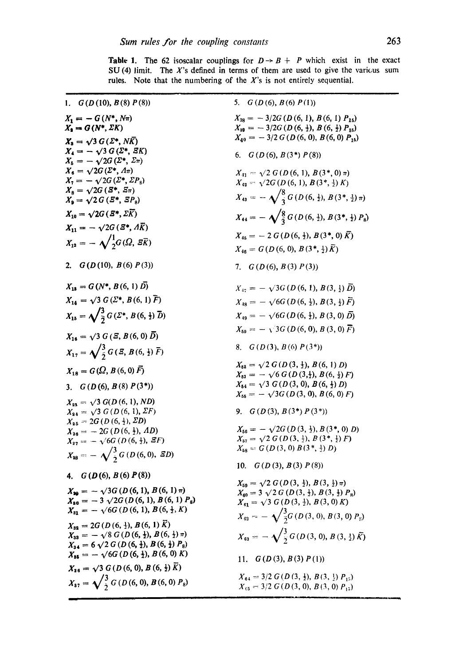| 1. $G(D(10), B(8), P(8))$                                                                                                                                                | 5. $G(D(6), B(6) P(1))$                                                                                                                                                                      |
|--------------------------------------------------------------------------------------------------------------------------------------------------------------------------|----------------------------------------------------------------------------------------------------------------------------------------------------------------------------------------------|
| $X_1 = - G(N^*, N\pi)$<br>$X_{\mathbf{a}} = G(N^*, \Sigma K)$                                                                                                            | $X_{38} = -3/2G(D(6, 1), B(6, 1) P_{15})$<br>$X_{39} = -3/2G(D(6, \frac{1}{2}), B(6, \frac{1}{2})P_{15})$                                                                                    |
| $X_3 = \sqrt{3} G(\Sigma^*, N\overline{K})$<br>$X_4 = -\sqrt{3} G(\Sigma^*, \Sigma K)$<br>$X_{\scriptscriptstyle{K}} = -\sqrt{2G\left(\Sigma^{*},\,\Sigma_{\pi}\right)}$ | $X_{40} = -3/2 G(D(6, 0), B(6, 0) P_{15})$<br>6. $G(D(6), B(3^*) P(8))$                                                                                                                      |
| $X_6 = \sqrt{2}G(\Sigma^*, \Lambda \pi)$<br>$X_7 = -\sqrt{2G(\Sigma^*, \Sigma P_8)}$<br>$X_{\rm B} = \sqrt{2}G(S^*, \, \bar{z}\pi)$                                      | $X_{41} = \sqrt{2} G(D(6, 1), B(3^*, 0), \pi)$<br>$X_{42} = \sqrt{2}G(D(6, 1), B(3^*, \frac{1}{2})K)$                                                                                        |
| $X_{\rm B} = \sqrt{2} G (E^*, E P_{\rm B})$                                                                                                                              | $X_{43} = -\sqrt{\frac{8}{3}} G(D(6,\frac{1}{2}), B(3^*,\frac{1}{2})\pi)$                                                                                                                    |
| $X_{10} = \sqrt{2}G(\overline{\mathcal{S}^*}, \Sigma \overline{K})$<br>$X_{11} = -\sqrt{2}G(\bar{Z}^*, \bar{A}\bar{K})$                                                  | $X_{44} = -\sqrt{\frac{8}{3}} G(D(6,\frac{1}{2}), B(3^*,\frac{1}{2}) P_8)$                                                                                                                   |
| $X_{12} = -\sqrt{\frac{1}{2}G(\Omega, \overrightarrow{g}_K)}$                                                                                                            | $X_{45} = -2 G (D(6, \frac{1}{2}), B(3^*, 0), \overline{K})$<br>$X_{46} = G(D(6, 0), B(3*, \frac{1}{2})\overline{K})$                                                                        |
| 2. $G(D(10), B(6) P(3))$                                                                                                                                                 | 7. $G(D(6), B(3) P(3))$                                                                                                                                                                      |
| $X_{18} = G(N^*, B(6, 1) D)$                                                                                                                                             | $X_{47} = -\sqrt{3}G(D(6, 1), B(3, \frac{1}{2})\overline{D})$                                                                                                                                |
| $X_{14} = \sqrt{3} G(\Sigma^*, B(6, 1) \bar{F})$                                                                                                                         | $X_{48} = -\sqrt{6G(D(6,\frac{1}{2}),B(3,\frac{1}{2})\bar{F})}$                                                                                                                              |
| $X_{15} = \sqrt{\frac{3}{2} G(\Sigma^*, B(6, \frac{1}{2}) \bar{D})}$                                                                                                     | $X_{49} = -\sqrt{6}G(D(6, \frac{1}{2}), B(3, 0), \overline{D})$                                                                                                                              |
| $X_{16} = \sqrt{3} G (S, B(6, 0) \bar{D})$                                                                                                                               | $X_{50} = -\sqrt{3}G(D(6,0), B(3,0), \vec{F})$                                                                                                                                               |
| $X_{17} = \sqrt{\frac{3}{2}} G(\bar{z}, B(6, \frac{1}{2}) \bar{F})$                                                                                                      | 8. $G(D(3), B(6) P(3^*))$                                                                                                                                                                    |
| $X_{18} = G(\Omega, B(6, 0), \vec{F})$                                                                                                                                   | $X_{52} = \sqrt{2} G(D(3, \frac{1}{2}), B(6, 1) D)$<br>$X_{53} = -\sqrt{6} G(D(3, 1), B(6, 1)) F$                                                                                            |
| 3. $G(D(6), B(8) P(3^*))$                                                                                                                                                | $X_{54} = \sqrt{3} G(D(3,0), B(6,\frac{1}{2}) D)$<br>$X_{55} = -\sqrt{3}G(D(3, 0), B(6, 0)F)$                                                                                                |
| $X_{23} = \sqrt{3} G(D(6, 1), ND)$<br>$X_{24} = \sqrt{3} G(D(6, 1), \Sigma F)$<br>$X_{25} = 2G(D(6, \frac{1}{2}), \Sigma D)$                                             | 9. $G(D(3), B(3^*) P(3^*))$                                                                                                                                                                  |
| $X_{26} = -2G(D(6, \frac{1}{2}), AD)$<br>$X_{27} = -\sqrt{6G (D (6, \frac{1}{2}), \mathcal{E}F)}$                                                                        | $X_{56} = -\sqrt{2G(D(3, \frac{1}{2}), B(3^*, 0), D)}$<br>$X_{57} = \sqrt{2} G(D(3,\frac{1}{2}), B(3^*,\frac{1}{2}) F)$                                                                      |
| $X_{28} = -\sqrt{\frac{3}{2}} G(D(6,0), SD)$                                                                                                                             | $X_{58} = G(D(3, 0) B(3^*, \frac{1}{2}) D)$<br>G(D(3), B(3) P(8))<br>10.                                                                                                                     |
| 4. $G(D(6), B(6) P(8))$                                                                                                                                                  |                                                                                                                                                                                              |
| $X_{20} = -\sqrt{3}G(D(6,1), B(6,1)\pi)$<br>$X_{80} = -3 \sqrt{2G (D (6, 1), B (6, 1) P_8)}$<br>$X_{31} = -\sqrt{6}G(D(6, 1), B(6, \frac{1}{2}, K))$                     | $X_{59} = \sqrt{2} G(D(3, \frac{1}{2}), B(3, \frac{1}{2}) \pi)$<br>$X_{60} = 3 \sqrt{2} G (D(3, \frac{1}{2}), B(3, \frac{1}{2}) P_8)$<br>$X_{61} = \sqrt{3} G(D(3, \frac{1}{2}), B(3, 0) K)$ |
| $X_{32} = 2G(D(6, \frac{1}{2}), B(6, 1), \vec{K})$                                                                                                                       | $X_{63} = -\sqrt{\frac{3}{2}}G(D(3, 0), B(3, 0) P_8)$                                                                                                                                        |
| $X_{33} = -\sqrt{8} G (D(6, \frac{1}{2}), B(6, \frac{1}{2}) \pi)$<br>$X_{34} = 6 \sqrt{2} G (D (6, \frac{1}{2}), B (6, \frac{1}{2}) P_8)$                                | $X_{63} = -\sqrt{\frac{3}{7}} G(D(3,0), B(3,1), \bar{K})$                                                                                                                                    |
| $X_{35} = -\sqrt{6G(D(6, \frac{1}{2}), B(6, 0) K)}$                                                                                                                      | G(D(3), B(3) P(1))<br>11.                                                                                                                                                                    |
| $X_{36} = \sqrt{3} G(D(6, 0), B(6, \frac{1}{2}) \overline{K})$<br>$X_{37} = \sqrt{\frac{3}{2}} G(D(6, 0), B(6, 0) P_8)$                                                  | $X_{64} = 3/2 G (D (3, \frac{1}{2}), B (3, \frac{1}{2}) P_{15})$<br>$X_{c5} = 3/2 G(D(3, 0), B(3, 0) P_{15})$                                                                                |

, =, m

**Table 1.** The 62 isoscalar couplings for  $D \rightarrow B + P$  which exist in the exact SU (4) limit. The  $X$ 's defined in terms of them are used to give the various sum rules. Note that the numbering of the  $X$ 's is not entirely sequential.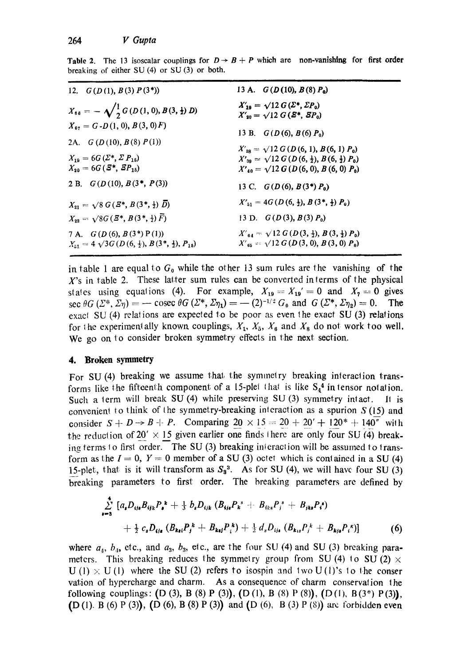|  |                                                  |  |  | Table 2. The 13 isoscalar couplings for $D \rightarrow B + P$ which are non-vanishing for first order |  |  |
|--|--------------------------------------------------|--|--|-------------------------------------------------------------------------------------------------------|--|--|
|  | breaking of either SU $(4)$ or SU $(3)$ or both. |  |  |                                                                                                       |  |  |

| 12. $G(D(1), B(3) P(3^*))$                                                                                    | 13 A. $G(D(10), B(8) P_0)$                                                                                                                                            |  |  |  |  |  |  |
|---------------------------------------------------------------------------------------------------------------|-----------------------------------------------------------------------------------------------------------------------------------------------------------------------|--|--|--|--|--|--|
| $X_{88} = -\sqrt{\frac{1}{2} G(D(1,0),B(3,\frac{1}{2}) D)}$                                                   | $X'_{19} = \sqrt{12} G(\Sigma^*, \Sigma P_0)$<br>$X'_{30} = \sqrt{12} G (B^*, SP_0)$                                                                                  |  |  |  |  |  |  |
| $X_{67} = G$ - D(1, 0), B(3, 0) F)                                                                            | 13 B. $G(D(6), B(6) P_0)$                                                                                                                                             |  |  |  |  |  |  |
| 2A. $G(D(10), B(8) P(1))$<br>$X_{19} = 6G\left(\Sigma^*, \Sigma P_{15}\right)$<br>$X_{20} = 6G(S^*, SP_{15})$ | $X'_{38} = \sqrt{12} G(D(6, 1), B(6, 1), P_0)$<br>$X'_{39} = \sqrt{12} G(D(6, \frac{1}{2}), B(6, \frac{1}{2}) P_0)$<br>$X'_{40} = \sqrt{12} G(D(6, 0), B(6, 0), P_0)$ |  |  |  |  |  |  |
| 2 B. $G(D(10), B(3^*, P(3))$                                                                                  | 13 C. $G(D(6), B(3^*)P_0)$                                                                                                                                            |  |  |  |  |  |  |
| $X_{21} = \sqrt{8} G(\bar{Z}^*, B(3^*, \frac{1}{2}) \bar{D})$                                                 | $X'_{51} = 4G(D(6, \frac{1}{2}), B(3^*, \frac{1}{2})$ $P_0)$                                                                                                          |  |  |  |  |  |  |
| $X_{22} = \sqrt{8}G(\bar{Z}^*, B(3^*, \frac{1}{2})\bar{F})$                                                   | 13 D. $G(D(3), B(3), P_0)$                                                                                                                                            |  |  |  |  |  |  |
| 7 A. $G(D(6), B(3^*)P(1))$<br>$X_{51} = 4 \sqrt{3} G (D(6, \frac{1}{2}), B(3^*, \frac{1}{2}), P_{15})$        | $X'_{64} = \sqrt{12} G(D(3, \frac{1}{2}), B(3, \frac{1}{2}) P_0)$<br>$X'_{65} = \sqrt{12} G(D(3,0), B(3,0), P_0)$                                                     |  |  |  |  |  |  |

in table 1 are equal to  $G_0$  while the other 13 sum rules are the vanishing of the  $X$ 's in table 2. These latter sum rules can be converted interms of the physical states using equations (4). For example,  $X_{19} = X_{19}^\prime = 0$  and  $X_7 = 0$  gives sec  $\theta G$   $(\Sigma^*, \Sigma \eta)$  =  $-$  cosec  $\theta G$   $(\Sigma^*, \Sigma \eta_1)$  =  $-$  (2)<sup>-1/2</sup>  $G_0$  and  $G$   $(\Sigma^*, \Sigma \eta_2)$  = 0. The exacl SU (4) relations are expected to be poor as even the exact SU (3) relations for the experimentally known couplings,  $X_1, X_5, X_6$  and  $X_8$  do not work too well. We go on to consider broken symmetry effects in the next section.

### **4. Broken symmetry**

For SU (4) breaking we assume that the symmetry breaking interaction transforms like the fifteenth component of a 15-plet that is like  $S_4^4$  in tensor notation. Such a term will break SU (4) while preserving SU (3) symmetry intact. It is convenient to think of the symmetry-breaking interaction as a spurion  $S(15)$  and consider  $S + D \rightarrow B + P$ . Comparing  $20 \times 15 = 20 + 20' + 120^* + 140''$  with the reduction of  $20' \times 15$  given earlier one finds there are only four SU (4) breaking terms 10 first order. The SU (3) breaking interaction will be assumed to transform as the  $I = 0$ ,  $Y = 0$  member of a SU (3) octet which is contained in a SU (4) 15-plet, that is it will transform as  $S_3^3$ . As for SU (4), we will have four SU (3) breaking parameters to first order. The breaking parameters are defined by

$$
\sum_{i=3}^{4} [a_{i}D_{i j s} B_{i j k} P_{i}^{\ k} + \frac{1}{3} b_{s} D_{i j k} (B_{i j s} P_{k}^{\ s} + B_{i k s} P_{j}^{\ s} + B_{j k s} P_{i}^{\ s})
$$
  
+ 
$$
\frac{1}{2} c_{s} D_{i j s} (B_{k s i} P_{j}^{\ k} + B_{k s j} P_{i}^{\ k}) + \frac{1}{2} d_{s} D_{i j s} (B_{k s s} P_{j}^{\ k} + B_{k s j} P_{i}^{\ s})]
$$
(6)

where  $a_4$ ,  $b_4$ , etc., and  $a_3$ ,  $b_3$ , etc., are the four SU (4) and SU (3) breaking parameters. This breaking reduces the symmetry group from SU (4) to SU (2)  $\times$  $U(1) \times U(1)$  where the SU(2) refers to isospin and two U(1)'s to the conser vation of hypercharge and charm. As a consequence of charm conservalion the following couplings:  $(D(3), B(8) P(3))$ ,  $(D(1), B(8) P(8))$ ,  $(D(1), B(3^*) P(3))$ , (D(1). B(6) P(3)), (D(6), B(8) P(3)) and (D(6), B(3) P(8)) are forbidden even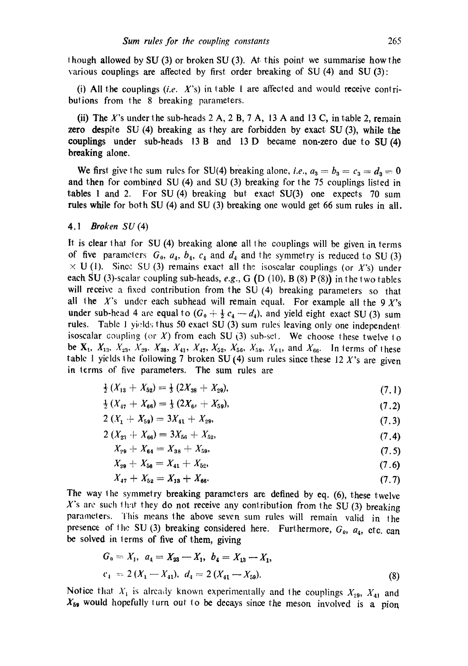l hough allowed by SU (3) or broken SU (3). At. this point we summarise how the various couplings are affected by first order breaking of SU (4) and SU (3):

(i) All the couplings  $(i.e. X's)$  in table 1 are affected and would receive contributions from the 8 breaking parameters.

(ii) The X's under the sub-heads  $2 \text{ A}$ ,  $2 \text{ B}$ ,  $7 \text{ A}$ ,  $13 \text{ A}$  and  $13 \text{ C}$ , in table 2, remain zero despite SU (4) breaking as they are forbidden by exact SU (3), while the couplings under sub-heads 13B and 13D became non-zero due to SU(4) breaking alone.

We first give the sum rules for SU(4) breaking alone, *i.e.*,  $a_3 = b_3 = c_3 = d_3 = 0$ and then for combined SU (4) and SU (3) breaking for the 75 couplings lisled in tables 1 and 2. For SU (4) breaking but exact SU(3) one expects 70 sum rules while for both SU (4) and SU (3) breaking one would get 66 sum rules in all.

#### *4.1 Broken SU* (4)

It is clear that for SU (4) breaking alone all the couplings will be given in terms of five parameters  $G_0$ ,  $a_4$ ,  $b_4$ ,  $c_4$  and  $d_4$  and the symmetry is reduced to SU (3)  $\times$  U (1). Since SU (3) remains exact all the isoscalar couplings (or X's) under each SU (3)-scalar coupling sub-heads, *e.g.,* G (D (10), B (8) P (8)) in the two tables will receive a fixed contribution from the SU (4) breaking parameters so that all the X's under each subhead will remain equal. For example all the  $9X$ 's under sub-head 4 are equal to  $(G_0 + \frac{1}{2}c_4 - d_4)$ , and yield eight exact SU (3) sum rules. Table 1 yields thus 50 exact SU (3) sum rules leaving only one independent isoscalar coupling (or  $X$ ) from each SU (3) sub-set. We choose these twelve to be  $X_1, X_{13}, X_{23}, X_{29}, X_{38}, X_{41}, X_{47}, X_{52}, X_{56}, X_{59}, X_{61}$ , and  $X_{66}$ . In terms of these table 1 yields the following 7 broken SU (4) sum rules since these 12 X's are given in terms of five parameters. The sum rules are

$$
\frac{1}{2}(X_{13} + X_{52}) = \frac{1}{3}(2X_{38} + X_{29}),\tag{7.1}
$$

$$
\frac{1}{2}(X_{47} + X_{66}) = \frac{1}{3}(2X_{64} + X_{59}),\tag{7.2}
$$

$$
2\left(X_1 + X_{59}\right) = 3X_{41} + X_{29},\tag{7.3}
$$

$$
2\left(X_{23} + X_{66}\right) = 3X_{56} + X_{52},\tag{7.4}
$$

$$
X_{29} + X_{64} = X_{38} + X_{59}, \tag{7.5}
$$

$$
X_{29} + X_{56} = X_{41} + X_{52}, \tag{7.6}
$$

$$
X_{47} + X_{52} = X_{13} + X_{66}.\tag{7.7}
$$

The way the symmetry breaking parameters are defined by eq. (6), these twelve X's are such that they do not receive any contribution from the SU (3) breaking parameters. This means the above seven sum rules will remain valid in the presence of the SU (3) breaking considered here. Furthermore,  $G_0$ ,  $a_4$ , etc. can be solved in terms of five of them, giving

$$
G_0 = X_1, \quad a_4 = X_{23} - X_1, \quad b_4 = X_{13} - X_1, \n c_4 = 2 (X_1 - X_{41}), \quad d_4 = 2 (X_{41} - X_{59}).
$$
\n(8)

Notice that  $X_1$  is already known experimentally and the couplings  $X_{29}$ ,  $X_{41}$  and  $X_{59}$  would hopefully turn out to be decays since the meson involved is a pion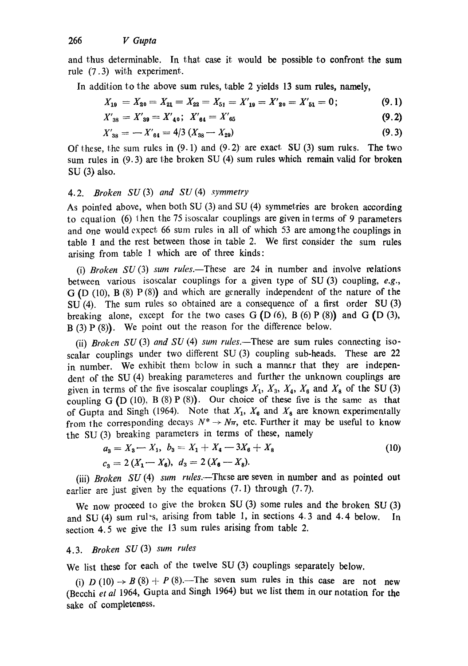and thus determinable. In that case it would be possible to confront the sum rule (7.3) with experiment.

In addition to the above sum rules, table 2 yields 13 sum rules, namely,

$$
X_{19} = X_{20} = X_{21} = X_{22} = X_{51} = X'_{19} = X'_{20} = X'_{51} = 0;
$$
 (9.1)

$$
X'_{38} = X'_{39} = X'_{40}; \ \ X'_{64} = X'_{65} \tag{9.2}
$$

$$
X'_{38} = -X'_{64} = 4/3 (X_{38} - X_{29})
$$
\n(9.3)

Of these, the sum rules in  $(9.1)$  and  $(9.2)$  are exact SU  $(3)$  sum rules. The two sum rules in (9.3) are the broken SU (4) sum rules which remain valid for broken SU (3) also.

### *4.2. Broken SU* (3) *and SU* (4) *symmetry*

As pointed above, when both SU (3) and SU (4) symmetries are broken according to equation (6) then the 75 isoscalar couplings are given in terms of 9 parameters and one would expect 66 sum rules in all of which 53 are amongthe couplings in table 1 and the rest between those in table 2. We first consider the sum rules arising from table 1 which are of three kinds:

(i) *Broken SU* (3) *sum rules.--These* are 24 in number and involve relations between various isoscalar couplings for a given type of SU (3) coupling, *e.g.,*  G (D (10), B (8) P (8)) and which are generally independent of the nature of the SU (4). The sum rules so obtained are a consequence of a first order SU (3) breaking alone, except for the two cases  $G(D(6), B(6) P(8))$  and  $G(D(3),$  $B(3)P(8)$ . We point out the reason for the difference below.

(ii) *Broken SU* (3) *and SU* (4) *sum rules.*—These are sum rules connecting isoscalar couplings under two different SU (3) coupling sub-heads. These are 22 in number. We exhibit them below in such a manner that they are independent of the SU (4) breaking parameteres and further the unknown couplings are given in terms of the five isoscalar couplings  $X_1, X_3, X_4, X_6$  and  $X_8$  of the SU (3) coupling G  $(D (10), B (8) P (8))$ . Our choice of these five is the same as that of Gupta and Singh (1964). Note that  $X_1$ ,  $X_6$  and  $X_8$  are known experimentally from the corresponding decays  $N^* \rightarrow N\pi$ , etc. Further it may be useful to know the SU (3) breaking parameters in terms of these, namely

$$
a_3 = X_3 - X_1, b_3 = X_1 + X_4 - 3X_6 + X_8
$$
  
\n
$$
c_3 = 2(X_1 - X_6), d_3 = 2(X_6 - X_8).
$$
\n(10)

(iii) *Broken SU* (4) *sum rules*.—These are seven in number and as pointed out earlier are just given by the equations  $(7.1)$  through  $(7.7)$ .

We now proceed to give the broken SU (3) some rules and the broken SU (3) and SU (4) sum rules, arising from table 1, in sections 4.3 and 4.4 below. In section 4.5 we give the 13 sum rules arising from table 2.

# 4.3. *Broken SU (3) sum rules*

We list these for each of the twelve SU (3) couplings separately below.

(i)  $D(10) \rightarrow B(8) + P(8)$ . The seven sum rules in this case are not new (Becchi et al 1964, Gupta and Singh 1964) but we list them in our notation for the sake of completeness,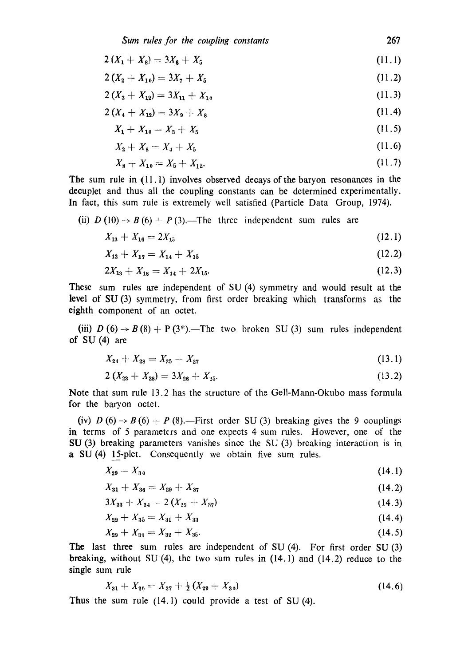*Sum rules for the coupling constants* 267

$$
2\left(X_1 + X_8\right) = 3X_8 + X_5\tag{11.1}
$$

 $2(X_2 + X_{10}) = 3X_7 + X_5$  (11.2)

$$
2\left(X_3 + X_{12}\right) = 3X_{11} + X_{10} \tag{11.3}
$$

$$
2\left(X_4 + X_{12}\right) = 3X_9 + X_8\tag{11.4}
$$

$$
X_1 + X_{10} = X_3 + X_5 \tag{11.5}
$$

$$
X_2 + X_8 = X_4 + X_5 \tag{11.6}
$$

$$
X_8 + X_{10} = X_5 + X_{12}.\tag{11.7}
$$

The sum rule in (11.1) involves observed decays of the baryon resonances in the decuplet and thus all the coupling constants can be determined experimentally. In fact, this sum rule is extremely well satisfied (Particle Data Group, 1974).

(ii) 
$$
D(10) \rightarrow B(6) + P(3)
$$
. The three independent sum rules are

$$
X_{13} + X_{16} = 2X_{15} \tag{12.1}
$$

$$
X_{13} + X_{17} = X_{14} + X_{15} \tag{12.2}
$$

$$
2X_{13} + X_{18} = X_{14} + 2X_{15}.\tag{12.3}
$$

These sum rules are independent of SU (4) symmetry and would result at the level of SU (3) symmetry, from first order breaking which Iransforms as the eighth component of an octet.

(iii)  $D(6) \rightarrow B(8) + P(3^*)$ . The two broken SU(3) sum rules independent of SU (4) are

$$
X_{24} + X_{28} = X_{25} + X_{27} \tag{13.1}
$$

$$
2\left(X_{23}+X_{28}\right)=3X_{26}+X_{25}.\hspace{1.5cm} (13.2)
$$

Note that sum rule 13.2 has the structure of the Gell-Mann-Okubo mass formula for the baryon octet.

(iv)  $D(6) \rightarrow B(6) + P(8)$ .—First order SU(3) breaking gives the 9 couplings in terms of 5 parameters and one expects 4 sum rules. However, one of the SU (3) breaking parameters vanishes since the SU (3) breaking interaction is in a SU (4) 15-plet. Consequently we obtain five sum rules.

$$
X_{29} = X_{30} \tag{14.1}
$$

$$
X_{31} + X_{36} = X_{29} + X_{37} \tag{14.2}
$$

$$
3X_{33} + X_{34} = 2(X_{29} + X_{37}) \tag{14.3}
$$

$$
X_{29} + X_{35} = X_{31} + X_{33} \tag{14.4}
$$

$$
X_{29} + X_{36} = X_{32} + X_{35}.\tag{14.5}
$$

The last three sum rules are independent of SU (4). For first order SU (3) breaking, without SU (4), the two sum rules in  $(14.1)$  and  $(14.2)$  reduce to the single sum rule

$$
X_{31} + X_{36} = X_{37} + \frac{1}{2}(X_{29} + X_{30})
$$
\n(14.6)

Thus the sum rule (14.1) could provide a test of SU (4).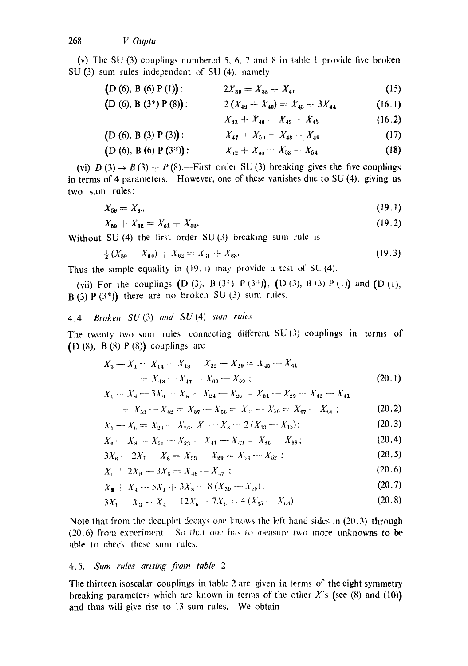(v) The SU (3) couplings numbered 5, 6, 7 and 8 in table 1 provide five broken SU (3) sum rules independent of SU (4), namely

- $(D(6), B(6) P(1))$ :  $2X_{39} = X_{38} + X_{40}$ **(15)**
- $(D (6), B (3*) P (8))$ :  $2 (X_{42} + X_{40}) = X_{43} + 3X_{44}$ (16.1)

$$
X_{41} + X_{46} = X_{43} + X_{45} \tag{16.2}
$$

$$
(D (6), B (3) P (3)) : X_{47} + X_{50} - X_{48} + X_{49}
$$
 (17)

$$
(D (6), B (6) P (3^*)):
$$
  $X_{52} + X_{55} = X_{53} + X_{54}$  (18)

(vi)  $D(3) \rightarrow B(3) + P(8)$ .—First order SU(3) breaking gives the five couplings in terms of 4 parameters. However, one of these vanishes due to SU (4), giving us two sum rules:

$$
X_{59} = X_{60} \tag{19.1}
$$

$$
X_{59} + X_{62} = X_{61} + X_{63}.
$$
 (19.2)

Without SU  $(4)$  the first order SU $(3)$  breaking sum rule is

$$
\frac{1}{2}(X_{59} + X_{60}) + X_{62} = X_{61} + X_{63}.
$$
 (19.3)

Thus the simple equality in (19.1) may provide a test *of* SU (4).

(vii) For the couplings  $(D(3), B(3^*) P(3^*))$ ,  $(D(3), B(3) P(1))$  and  $(D(1),$  $B(3)P(3^*)$  there are no broken SU (3) sum rules.

# 4.4. *Broken SU* (3) *and SU* (4) *s'um rules*

The twenty two sum rules connecting different  $SU(3)$  couplings in terms of (D  $(8)$ , B  $(8)$  P  $(8)$ ) couplings are

$$
X_3 - X_1 = X_{14} - X_{13} = X_{32} - X_{29} = X_{15} - X_{41}
$$
  
=  $X_{18} - X_{47} = X_{63} - X_{59}$  ; (20.1)

$$
X_1 + X_4 - 3X_5 + X_8 = X_{24} - X_{23} - X_{31} - X_{29} - X_{42} - X_{41}
$$

$$
= X_{53} - X_{52} = X_{57} - X_{56} = X_{61} - X_{59} = X_{67} - X_{66} ; \tag{20.2}
$$

$$
X_1 - X_6 = X_{23} - X_{26}, \ X_1 - X_8 = 2(X_{13} - X_{15}); \tag{20.3}
$$

$$
X_8 - X_8 = X_{26} - X_{23} = X_{41} - X_{43} = X_{56} - X_{58};
$$
\n(20.4)

$$
3X_6 - 2X_1 - X_8 = X_{33} - X_{29} = X_{54} - X_{52};
$$
\n(20.5)

$$
X_1 + 2X_8 - 3X_6 = X_{49} - X_{47}:
$$
\n(20.6)

$$
X_{\bullet} + X_{4} - 5X_{1} + 3X_{8} = 8(X_{39} - X_{38});
$$
 (20.7)

$$
3X_1 + X_3 + X_4 - 12X_6 + 7X_8 - 4(X_{65} - X_{64}). \tag{20.8}
$$

Note that from the decuplet decays one knows the left hand sides in  $(20.3)$  through  $(20.6)$  from experiment. So that one has to measury two more unknowns to be able to check these sum rules.

#### *4.5. Sum rtdes arising fi'om table 2*

The thirteen isoscalar couplings in table 2 are given in terms of the eight symmetry breaking parameters which are known in terms of the other  $X$ 's (see (8) and (10)) and thus will give rise to 13 sum rules. We obtain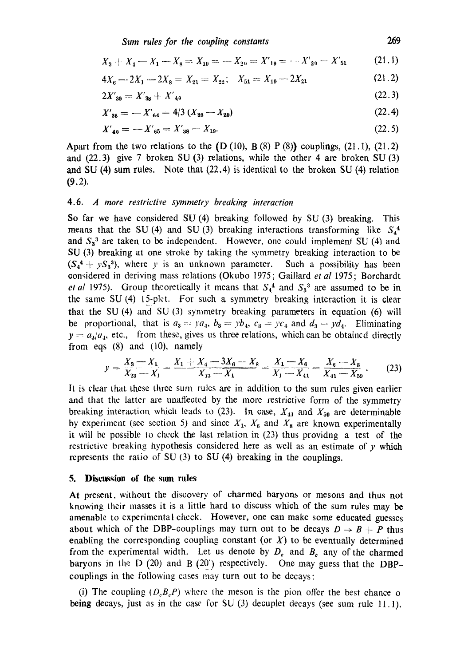*Sum rules for the coupling constants* 269

$$
X_3 + X_4 - X_1 - X_8 = X_{10} = -X_{20} = X'_{19} = -X'_{20} = X'_{51}
$$
 (21.1)

$$
4X_6 - 2X_1 - 2X_8 = X_{21} = X_{22}; \quad X_{51} = X_{19} - 2X_{21}
$$
 (21.2)

$$
2X'_{39} = X'_{38} + X'_{40} \tag{22.3}
$$

$$
X'_{38} = -X'_{64} = 4/3 \left( X_{38} - X_{29} \right) \tag{22.4}
$$

$$
X'_{40} = -X'_{65} = X'_{38} - X_{19}.\tag{22.5}
$$

Apart from the two relations to the  $(D (10), B(8) P (8))$  couplings,  $(21.1), (21.2)$ and  $(22.3)$  give 7 broken SU  $(3)$  relations, while the other 4 are broken SU  $(3)$ and SU (4) sum rules. Note that (22.4) is identical to the broken SU (4) relation  $(9.2)$ .

#### 4.6. *A more restrictive symmetry breaking interaction*

So far we have considered SU (4) breaking followed by SU (3) breaking. This means that the SU (4) and SU (3) breaking interactions transforming like  $S_4^4$ and  $S_3^3$  are taken to be independent. However, one could implement SU (4) and SU (3) breaking at one stroke by taking the symmetry breaking interaction to be  $(S_4^4 + yS_3^3)$ , where *y* is an unknown parameter. Such a possibility has been considered in deriving mass relations (Okubo 1975; Gaillard *et al* 1975; Borchardt *et al* 1975). Group theoretically it means that  $S_4^4$  and  $S_3^3$  are assumed to be in the same SU (4) 15-plet. For such a symmetry breaking interaction it is clear that the SU (4) and SU (3) symmetry breaking parameters in equation (6) will be proportional, that is  $a_3 = ya_4$ ,  $b_3 = yb_4$ ,  $c_3 = yc_4$  and  $d_3 = yd_4$ . Eliminating  $y = a_3/a_4$ , etc., from these, gives us three relations, which can be obtained directly from eqs (8) and (10), namely

$$
y = \frac{X_3 - X_1}{X_{23} - X_1} = \frac{X_1 + X_4 - 3X_6 + X_8}{X_{13} - X_1} = \frac{X_1 - X_6}{X_1 - X_{41}} = \frac{X_6 - X_8}{X_{41} - X_{59}}.
$$
 (23)

It is clear that these three sum rules are in addition to the sum rules given earlier and that the latter are unaffected by the more restrictive form of the symmetry breaking interaction which leads to (23). In case,  $X_{41}$  and  $X_{59}$  are determinable by experiment (see section 5) and since  $X_1, X_6$  and  $X_8$  are known experimentally it will be possible lo check the last relation in (23) thus providng a test of the restrictive breaking hypothesis considered here as well as an estimate of y which represents the ratio of SU (3) to SU (4) breaking in the couplings.

#### **5. Discussion of the sum rules**

At present, without the discovery of charmed baryons or mesons and thus not knowing their masses it is a little hard to discuss which of the sum rules may be amenable to experimental check. However, one can make some educated guesses about which of the DBP-couplings may turn out to be decays  $D \rightarrow B + P$  thus enabling the corresponding coupling constant (or  $X$ ) to be eventually determined from the experimental width. Let us denote by  $D_e$  and  $B_o$  any of the charmed baryons in the D (20) and B (20') respectively. One may guess that the DBPcouplings in the following cases may turn out to be decays:

(i) The coupling  $(D_0B_0P)$  where the meson is the pion offer the best chance o being decays, just as in the case for SU (3) decuplet decays (see sum rule 11.1).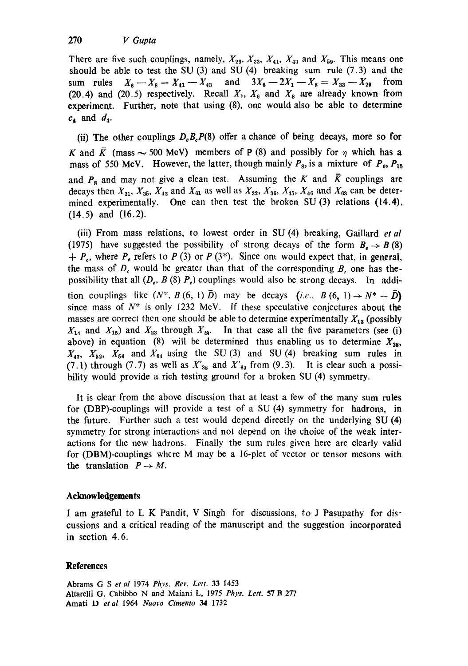There are five such couplings, namely,  $X_{29}$ ,  $X_{33}$ ,  $X_{41}$ ,  $X_{43}$  and  $X_{59}$ . This means one should be able to test the SU  $(3)$  and SU  $(4)$  breaking sum rule  $(7.3)$  and the sum rules  $X_6-X_8=X_{41}-X_{43}$  and  $3X_6-2X_1-X_8=X_{33}-X_{29}$  from (20.4) and (20.5) respectively. Recall  $X_1, X_6$  and  $X_8$  are already known from experiment. Further, note that using (8), one would also be able to determine  $c_4$  and  $d_4$ .

(ii) The other couplings  $D_{\theta}B_{\theta}P(8)$  offer a chance of being decays, more so for K and  $\bar{K}$  (mass  $\sim$  500 MeV) members of P (8) and possibly for  $\eta$  which has a mass of 550 MeV. However, the latter, though mainly  $P_8$ , is a mixture of  $P_0$ ,  $P_{15}$ and  $P_8$  and may not give a clean test. Assuming the K and  $\bar{K}$  couplings are decays then  $X_{31}$ ,  $X_{35}$ ,  $X_{42}$  and  $X_{61}$  as well as  $X_{32}$ ,  $X_{36}$ ,  $X_{45}$ ,  $X_{46}$  and  $X_{63}$  can be determined experimentally. One can then test the broken SU (3) relations (14.4), (14.5) and (16.2).

(iii) From mass relations, to lowest order in SU (4) breaking, Gaillard *et al*  (1975) have suggested the possibility of strong decays of the form  $B_0 \rightarrow B(8)$  $q+ P_r$ , where  $P_r$ , refers to P (3) or P (3\*). Since one would expect that, in general, the mass of  $D<sub>e</sub>$  would be greater than that of the corresponding  $B<sub>z</sub>$  one has thepossibility that all  $(D_e, B(8) P_e)$  couplings would also be strong decays. In addition couplings like  $(N^*, B(6, 1) \bar{D})$  may be decays  $(i.e., B(6, 1) \rightarrow N^* + \bar{D})$ since mass of  $N^*$  is only 1232 MeV. If these speculative conjectures about the masses are correct then one should be able to determine experimentally  $X_{13}$  (possibly  $X_{14}$  and  $X_{15}$ ) and  $X_{23}$  through  $X_{28}$ . In that case all the five parameters (see (i) above) in equation (8) will be determined thus enabling us to determine  $X_{38}$ ,  $X_{47}$ ,  $X_{52}$ ,  $X_{56}$  and  $X_{64}$  using the SU(3) and SU(4) breaking sum rules in (7.1) through (7.7) as well as  $X'_{38}$  and  $X'_{64}$  from (9.3). It is clear such a possibility would provide a rich testing ground for a broken SU (4) symmetry.

It is clear from the above discussion that at least a few of the many sum rules for (DBP)-couplings will provide a test of a SU (4) symmetry for hadrons, in the future. Further such a test would depend directly on the underlying SU (4) symmetry for strong interactions and not depend on the choice of the weak interactions for the new hadrons. Finally the sum rules given here are clearly valid for (DBM)-couplings where M may be a 16-plet of vector or tensor mesons with the translation  $P \rightarrow M$ .

# **Acknowledgements**

I am grateful to L K Pandit, V Singh for discussions, to J Pasupathy for discussions and a critical reading of the manuscript and the suggestion incorporated in section 4.6.

# **References**

Abrams G S *et el* 1974 *Phys. Rev. Lett.* 33 1453 Altarelli G, Cabibbo N and Maiani L, 1975 *Phys. Lett.* 57 B 277 Amati D *etal* 1964 *Nuovo Cimento 34* 1732